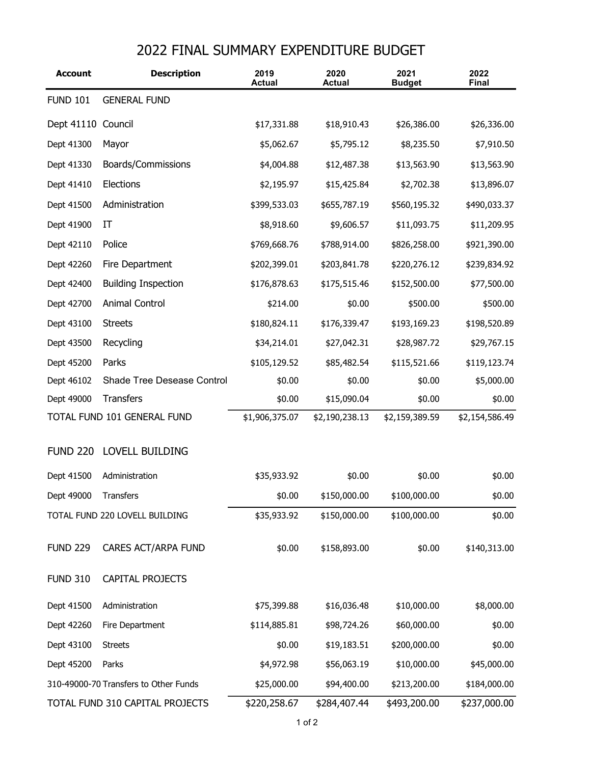## 2022 FINAL SUMMARY EXPENDITURE BUDGET

| <b>Account</b>              | <b>Description</b>                    | 2019<br><b>Actual</b> | 2020<br><b>Actual</b> | 2021<br><b>Budget</b> | 2022<br><b>Final</b> |
|-----------------------------|---------------------------------------|-----------------------|-----------------------|-----------------------|----------------------|
| <b>FUND 101</b>             | <b>GENERAL FUND</b>                   |                       |                       |                       |                      |
| Dept 41110                  | Council                               | \$17,331.88           | \$18,910.43           | \$26,386.00           | \$26,336.00          |
| Dept 41300                  | Mayor                                 | \$5,062.67            | \$5,795.12            | \$8,235.50            | \$7,910.50           |
| Dept 41330                  | Boards/Commissions                    | \$4,004.88            | \$12,487.38           | \$13,563.90           | \$13,563.90          |
| Dept 41410                  | Elections                             | \$2,195.97            | \$15,425.84           | \$2,702.38            | \$13,896.07          |
| Dept 41500                  | Administration                        | \$399,533.03          | \$655,787.19          | \$560,195.32          | \$490,033.37         |
| Dept 41900                  | IT                                    | \$8,918.60            | \$9,606.57            | \$11,093.75           | \$11,209.95          |
| Dept 42110                  | Police                                | \$769,668.76          | \$788,914.00          | \$826,258.00          | \$921,390.00         |
| Dept 42260                  | Fire Department                       | \$202,399.01          | \$203,841.78          | \$220,276.12          | \$239,834.92         |
| Dept 42400                  | <b>Building Inspection</b>            | \$176,878.63          | \$175,515.46          | \$152,500.00          | \$77,500.00          |
| Dept 42700                  | Animal Control                        | \$214.00              | \$0.00                | \$500.00              | \$500.00             |
| Dept 43100                  | <b>Streets</b>                        | \$180,824.11          | \$176,339.47          | \$193,169.23          | \$198,520.89         |
| Dept 43500                  | Recycling                             | \$34,214.01           | \$27,042.31           | \$28,987.72           | \$29,767.15          |
| Dept 45200                  | Parks                                 | \$105,129.52          | \$85,482.54           | \$115,521.66          | \$119,123.74         |
| Dept 46102                  | Shade Tree Desease Control            | \$0.00                | \$0.00                | \$0.00                | \$5,000.00           |
| Dept 49000                  | <b>Transfers</b>                      | \$0.00                | \$15,090.04           | \$0.00                | \$0.00               |
| TOTAL FUND 101 GENERAL FUND |                                       | \$1,906,375.07        | \$2,190,238.13        | \$2,159,389.59        | \$2,154,586.49       |
| <b>FUND 220</b>             | LOVELL BUILDING                       |                       |                       |                       |                      |
| Dept 41500                  | Administration                        | \$35,933.92           | \$0.00                | \$0.00                | \$0.00               |
| Dept 49000                  | Transfers                             | \$0.00                | \$150,000.00          | \$100,000.00          | \$0.00               |
|                             | TOTAL FUND 220 LOVELL BUILDING        | \$35,933.92           | \$150,000.00          | \$100,000.00          | \$0.00               |
| <b>FUND 229</b>             | <b>CARES ACT/ARPA FUND</b>            | \$0.00                | \$158,893.00          | \$0.00                | \$140,313.00         |
| <b>FUND 310</b>             | CAPITAL PROJECTS                      |                       |                       |                       |                      |
| Dept 41500                  | Administration                        | \$75,399.88           | \$16,036.48           | \$10,000.00           | \$8,000.00           |
| Dept 42260                  | Fire Department                       | \$114,885.81          | \$98,724.26           | \$60,000.00           | \$0.00               |
| Dept 43100                  | <b>Streets</b>                        | \$0.00                | \$19,183.51           | \$200,000.00          | \$0.00               |
| Dept 45200                  | Parks                                 | \$4,972.98            | \$56,063.19           | \$10,000.00           | \$45,000.00          |
|                             | 310-49000-70 Transfers to Other Funds | \$25,000.00           | \$94,400.00           | \$213,200.00          | \$184,000.00         |
|                             | TOTAL FUND 310 CAPITAL PROJECTS       | \$220,258.67          | \$284,407.44          | \$493,200.00          | \$237,000.00         |